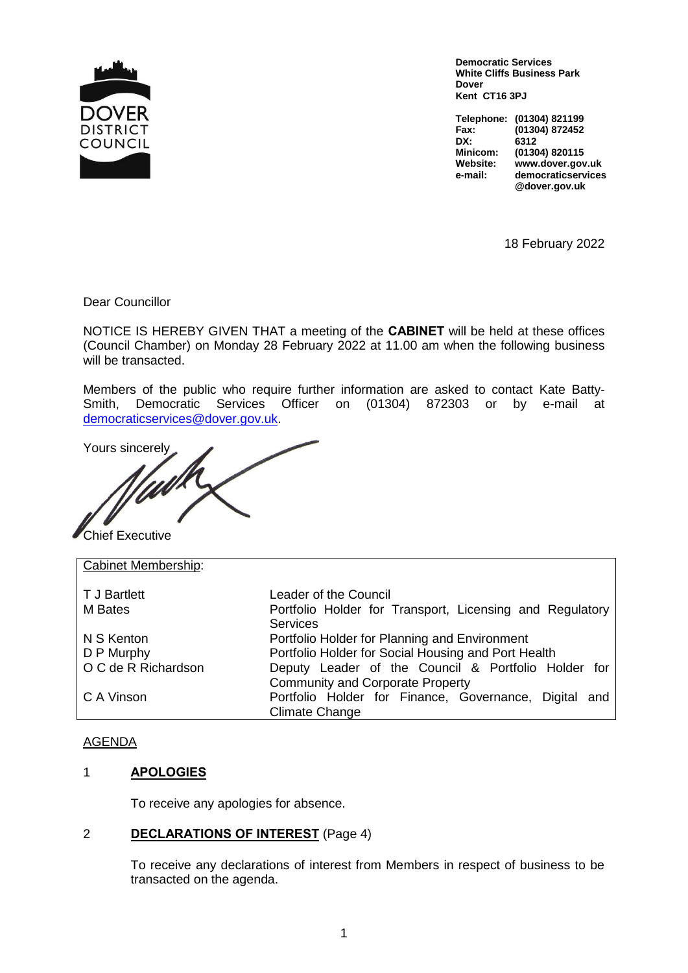

**Democratic Services White Cliffs Business Park Dover Kent CT16 3PJ**

**Telephone: (01304) 821199 Fax: (01304) 872452 DX: 6312 Minicom: (01304) 820115 Website: www.dover.gov.uk e-mail: democraticservices @dover.gov.uk**

18 February 2022

Dear Councillor

NOTICE IS HEREBY GIVEN THAT a meeting of the **CABINET** will be held at these offices (Council Chamber) on Monday 28 February 2022 at 11.00 am when the following business will be transacted.

Members of the public who require further information are asked to contact Kate Batty-Smith, Democratic Services Officer on (01304) 872303 or by e-mail at democraticservices@dover.gov.uk.

Yours sincerely

Chief Executive

Cabinet Membership: T J Bartlett Leader of the Council M Bates **Portfolio Holder for Transport, Licensing and Regulatory Services** N S Kenton Portfolio Holder for Planning and Environment D P Murphy **Portfolio Holder for Social Housing and Port Health** O C de R Richardson Deputy Leader of the Council & Portfolio Holder for Community and Corporate Property C A Vinson **Portfolio Holder for Finance, Governance, Digital and** Climate Change

### AGENDA

### 1 **APOLOGIES**

To receive any apologies for absence.

### 2 **DECLARATIONS OF INTEREST** (Page 4)

To receive any declarations of interest from Members in respect of business to be transacted on the agenda.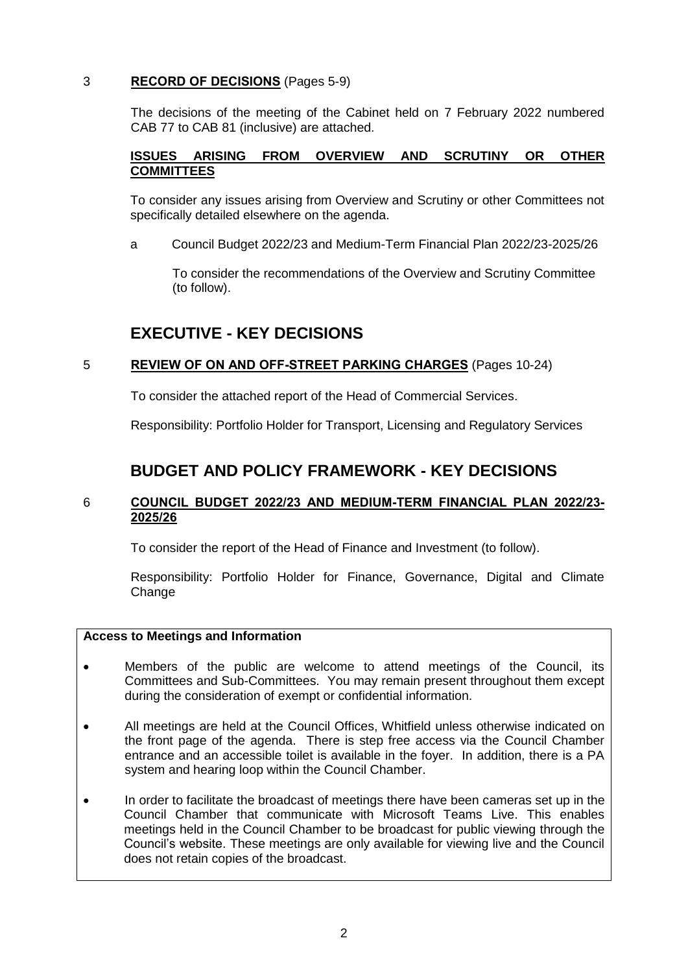### 3 **RECORD OF DECISIONS** (Pages 5-9)

The decisions of the meeting of the Cabinet held on 7 February 2022 numbered CAB 77 to CAB 81 (inclusive) are attached.

## **ISSUES ARISING FROM OVERVIEW AND SCRUTINY OR OTHER COMMITTEES**

To consider any issues arising from Overview and Scrutiny or other Committees not specifically detailed elsewhere on the agenda.

a Council Budget 2022/23 and Medium-Term Financial Plan 2022/23-2025/26

 To consider the recommendations of the Overview and Scrutiny Committee (to follow).

# **EXECUTIVE - KEY DECISIONS**

### 5 **REVIEW OF ON AND OFF-STREET PARKING CHARGES** (Pages 10-24)

To consider the attached report of the Head of Commercial Services.

Responsibility: Portfolio Holder for Transport, Licensing and Regulatory Services

# **BUDGET AND POLICY FRAMEWORK - KEY DECISIONS**

### 6 **COUNCIL BUDGET 2022/23 AND MEDIUM-TERM FINANCIAL PLAN 2022/23- 2025/26**

To consider the report of the Head of Finance and Investment (to follow).

Responsibility: Portfolio Holder for Finance, Governance, Digital and Climate Change

### **Access to Meetings and Information**

- Members of the public are welcome to attend meetings of the Council, its Committees and Sub-Committees. You may remain present throughout them except during the consideration of exempt or confidential information.
- All meetings are held at the Council Offices, Whitfield unless otherwise indicated on the front page of the agenda. There is step free access via the Council Chamber entrance and an accessible toilet is available in the foyer. In addition, there is a PA system and hearing loop within the Council Chamber.
- In order to facilitate the broadcast of meetings there have been cameras set up in the Council Chamber that communicate with Microsoft Teams Live. This enables meetings held in the Council Chamber to be broadcast for public viewing through the Council's website. These meetings are only available for viewing live and the Council does not retain copies of the broadcast.